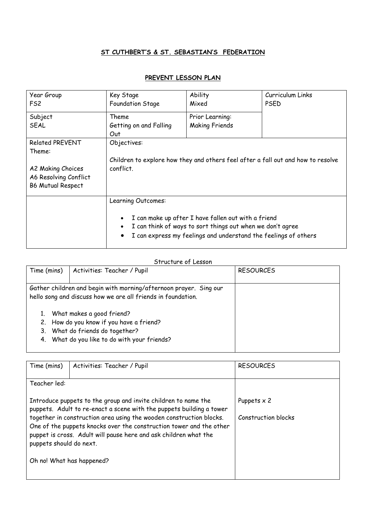## **ST CUTHBERT'S & ST. SEBASTIAN'S FEDERATION**

## **PREVENT LESSON PLAN**

| Year Group<br>FS2                                                                                          | Key Stage<br><b>Foundation Stage</b>                                                                                                                                                                                                              | Ability<br>Mixed                         | Curriculum Links<br><b>PSED</b> |
|------------------------------------------------------------------------------------------------------------|---------------------------------------------------------------------------------------------------------------------------------------------------------------------------------------------------------------------------------------------------|------------------------------------------|---------------------------------|
| Subject<br>SEAL                                                                                            | Theme<br>Getting on and Falling<br>Out                                                                                                                                                                                                            | Prior Learning:<br><b>Making Friends</b> |                                 |
| <b>Related PREVENT</b><br>Theme:<br>A2 Making Choices<br>A6 Resolving Conflict<br><b>B6 Mutual Respect</b> | Objectives:<br>Children to explore how they and others feel after a fall out and how to resolve<br>conflict.                                                                                                                                      |                                          |                                 |
|                                                                                                            | Learning Outcomes:<br>I can make up after I have fallen out with a friend<br>$\bullet$<br>I can think of ways to sort things out when we don't agree<br>$\bullet$<br>I can express my feelings and understand the feelings of others<br>$\bullet$ |                                          |                                 |

## Structure of Lesson

| Time (mins)                                                       | Activities: Teacher / Pupil                                  | <b>RESOURCES</b> |
|-------------------------------------------------------------------|--------------------------------------------------------------|------------------|
|                                                                   |                                                              |                  |
| Gather children and begin with morning/afternoon prayer. Sing our |                                                              |                  |
|                                                                   | hello song and discuss how we are all friends in foundation. |                  |
|                                                                   |                                                              |                  |
|                                                                   | What makes a good friend?                                    |                  |
|                                                                   | 2. How do you know if you have a friend?                     |                  |
|                                                                   | 3. What do friends do together?                              |                  |
|                                                                   | 4. What do you like to do with your friends?                 |                  |
|                                                                   |                                                              |                  |

| Activities: Teacher / Pupil                                                                                                                                                                                                                                                                                                                                                         | <b>RESOURCES</b>                          |
|-------------------------------------------------------------------------------------------------------------------------------------------------------------------------------------------------------------------------------------------------------------------------------------------------------------------------------------------------------------------------------------|-------------------------------------------|
|                                                                                                                                                                                                                                                                                                                                                                                     |                                           |
| Introduce puppets to the group and invite children to name the<br>puppets. Adult to re-enact a scene with the puppets building a tower<br>together in construction area using the wooden construction blocks.<br>One of the puppets knocks over the construction tower and the other<br>puppet is cross. Adult will pause here and ask children what the<br>puppets should do next. | Puppets $\times$ 2<br>Construction blocks |
| Oh no! What has happened?                                                                                                                                                                                                                                                                                                                                                           |                                           |
|                                                                                                                                                                                                                                                                                                                                                                                     |                                           |